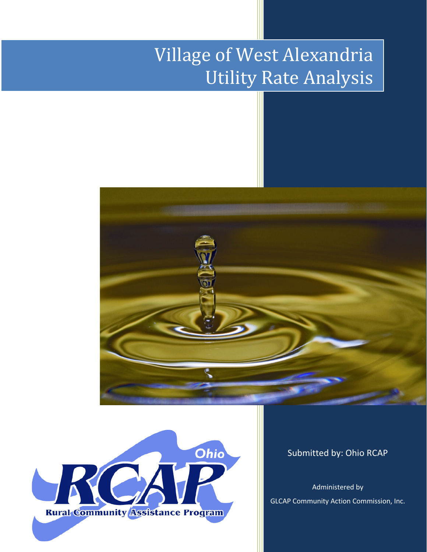# Village of West Alexandria Utility Rate Analysis





Submitted by: Ohio RCAP

Administered by GLCAP Community Action Commission, Inc.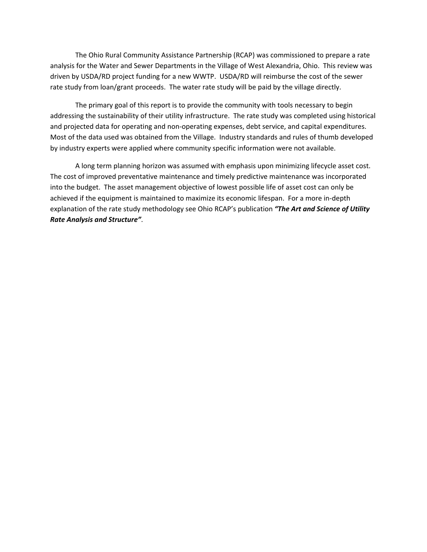The Ohio Rural Community Assistance Partnership (RCAP) was commissioned to prepare a rate analysis for the Water and Sewer Departments in the Village of West Alexandria, Ohio. This review was driven by USDA/RD project funding for a new WWTP. USDA/RD will reimburse the cost of the sewer rate study from loan/grant proceeds. The water rate study will be paid by the village directly.

The primary goal of this report is to provide the community with tools necessary to begin addressing the sustainability of their utility infrastructure. The rate study was completed using historical and projected data for operating and non-operating expenses, debt service, and capital expenditures. Most of the data used was obtained from the Village. Industry standards and rules of thumb developed by industry experts were applied where community specific information were not available.

A long term planning horizon was assumed with emphasis upon minimizing lifecycle asset cost. The cost of improved preventative maintenance and timely predictive maintenance was incorporated into the budget. The asset management objective of lowest possible life of asset cost can only be achieved if the equipment is maintained to maximize its economic lifespan. For a more in-depth explanation of the rate study methodology see Ohio RCAP's publication *"The Art and Science of Utility Rate Analysis and Structure"*.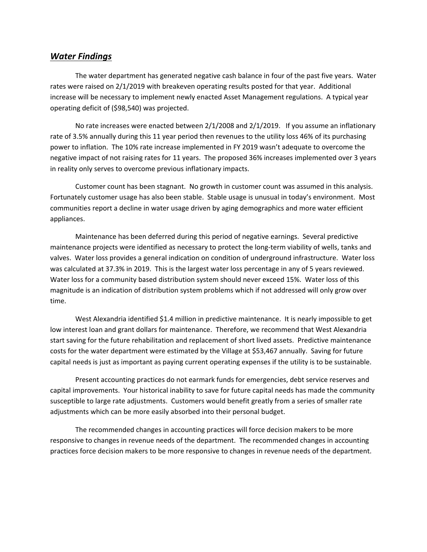#### *Water Findings*

The water department has generated negative cash balance in four of the past five years. Water rates were raised on 2/1/2019 with breakeven operating results posted for that year. Additional increase will be necessary to implement newly enacted Asset Management regulations. A typical year operating deficit of (\$98,540) was projected.

No rate increases were enacted between 2/1/2008 and 2/1/2019. If you assume an inflationary rate of 3.5% annually during this 11 year period then revenues to the utility loss 46% of its purchasing power to inflation. The 10% rate increase implemented in FY 2019 wasn't adequate to overcome the negative impact of not raising rates for 11 years. The proposed 36% increases implemented over 3 years in reality only serves to overcome previous inflationary impacts.

Customer count has been stagnant. No growth in customer count was assumed in this analysis. Fortunately customer usage has also been stable. Stable usage is unusual in today's environment. Most communities report a decline in water usage driven by aging demographics and more water efficient appliances.

Maintenance has been deferred during this period of negative earnings. Several predictive maintenance projects were identified as necessary to protect the long-term viability of wells, tanks and valves. Water loss provides a general indication on condition of underground infrastructure. Water loss was calculated at 37.3% in 2019. This is the largest water loss percentage in any of 5 years reviewed. Water loss for a community based distribution system should never exceed 15%. Water loss of this magnitude is an indication of distribution system problems which if not addressed will only grow over time.

West Alexandria identified \$1.4 million in predictive maintenance. It is nearly impossible to get low interest loan and grant dollars for maintenance. Therefore, we recommend that West Alexandria start saving for the future rehabilitation and replacement of short lived assets. Predictive maintenance costs for the water department were estimated by the Village at \$53,467 annually. Saving for future capital needs is just as important as paying current operating expenses if the utility is to be sustainable.

Present accounting practices do not earmark funds for emergencies, debt service reserves and capital improvements. Your historical inability to save for future capital needs has made the community susceptible to large rate adjustments. Customers would benefit greatly from a series of smaller rate adjustments which can be more easily absorbed into their personal budget.

The recommended changes in accounting practices will force decision makers to be more responsive to changes in revenue needs of the department. The recommended changes in accounting practices force decision makers to be more responsive to changes in revenue needs of the department.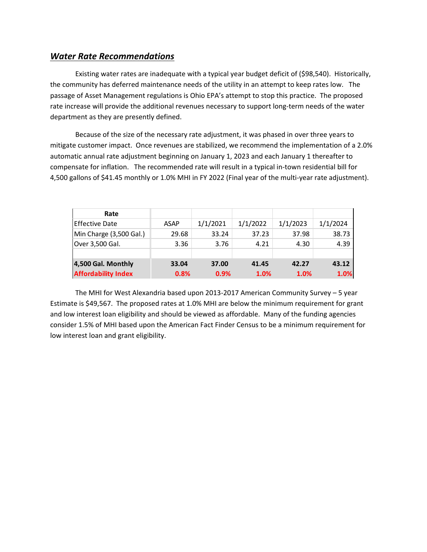### *Water Rate Recommendations*

Existing water rates are inadequate with a typical year budget deficit of (\$98,540). Historically, the community has deferred maintenance needs of the utility in an attempt to keep rates low. The passage of Asset Management regulations is Ohio EPA's attempt to stop this practice. The proposed rate increase will provide the additional revenues necessary to support long-term needs of the water department as they are presently defined.

Because of the size of the necessary rate adjustment, it was phased in over three years to mitigate customer impact. Once revenues are stabilized, we recommend the implementation of a 2.0% automatic annual rate adjustment beginning on January 1, 2023 and each January 1 thereafter to compensate for inflation.The recommended rate will result in a typical in-town residential bill for 4,500 gallons of \$41.45 monthly or 1.0% MHI in FY 2022 (Final year of the multi-year rate adjustment).

| Rate                       |             |          |          |          |          |
|----------------------------|-------------|----------|----------|----------|----------|
| <b>Effective Date</b>      | <b>ASAP</b> | 1/1/2021 | 1/1/2022 | 1/1/2023 | 1/1/2024 |
| Min Charge (3,500 Gal.)    | 29.68       | 33.24    | 37.23    | 37.98    | 38.73    |
| Over 3,500 Gal.            | 3.36        | 3.76     | 4.21     | 4.30     | 4.39     |
|                            |             |          |          |          |          |
| 4,500 Gal. Monthly         | 33.04       | 37.00    | 41.45    | 42.27    | 43.12    |
| <b>Affordability Index</b> | 0.8%        | 0.9%     | 1.0%     | 1.0%     | 1.0%     |

The MHI for West Alexandria based upon 2013-2017 American Community Survey – 5 year Estimate is \$49,567. The proposed rates at 1.0% MHI are below the minimum requirement for grant and low interest loan eligibility and should be viewed as affordable. Many of the funding agencies consider 1.5% of MHI based upon the American Fact Finder Census to be a minimum requirement for low interest loan and grant eligibility.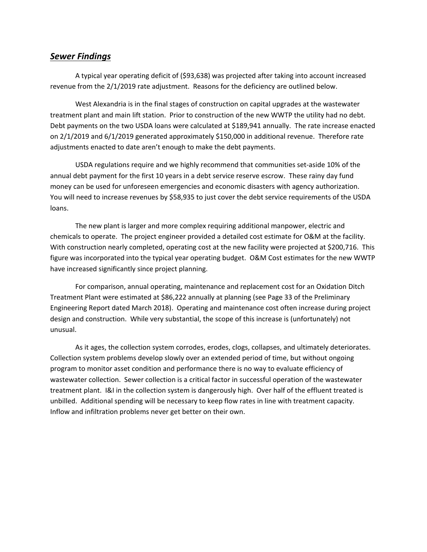#### *Sewer Findings*

A typical year operating deficit of (\$93,638) was projected after taking into account increased revenue from the 2/1/2019 rate adjustment. Reasons for the deficiency are outlined below.

West Alexandria is in the final stages of construction on capital upgrades at the wastewater treatment plant and main lift station. Prior to construction of the new WWTP the utility had no debt. Debt payments on the two USDA loans were calculated at \$189,941 annually. The rate increase enacted on 2/1/2019 and 6/1/2019 generated approximately \$150,000 in additional revenue. Therefore rate adjustments enacted to date aren't enough to make the debt payments.

USDA regulations require and we highly recommend that communities set-aside 10% of the annual debt payment for the first 10 years in a debt service reserve escrow. These rainy day fund money can be used for unforeseen emergencies and economic disasters with agency authorization. You will need to increase revenues by \$58,935 to just cover the debt service requirements of the USDA loans.

The new plant is larger and more complex requiring additional manpower, electric and chemicals to operate. The project engineer provided a detailed cost estimate for O&M at the facility. With construction nearly completed, operating cost at the new facility were projected at \$200,716. This figure was incorporated into the typical year operating budget. O&M Cost estimates for the new WWTP have increased significantly since project planning.

For comparison, annual operating, maintenance and replacement cost for an Oxidation Ditch Treatment Plant were estimated at \$86,222 annually at planning (see Page 33 of the Preliminary Engineering Report dated March 2018). Operating and maintenance cost often increase during project design and construction. While very substantial, the scope of this increase is (unfortunately) not unusual.

As it ages, the collection system corrodes, erodes, clogs, collapses, and ultimately deteriorates. Collection system problems develop slowly over an extended period of time, but without ongoing program to monitor asset condition and performance there is no way to evaluate efficiency of wastewater collection. Sewer collection is a critical factor in successful operation of the wastewater treatment plant. I&I in the collection system is dangerously high. Over half of the effluent treated is unbilled. Additional spending will be necessary to keep flow rates in line with treatment capacity. Inflow and infiltration problems never get better on their own.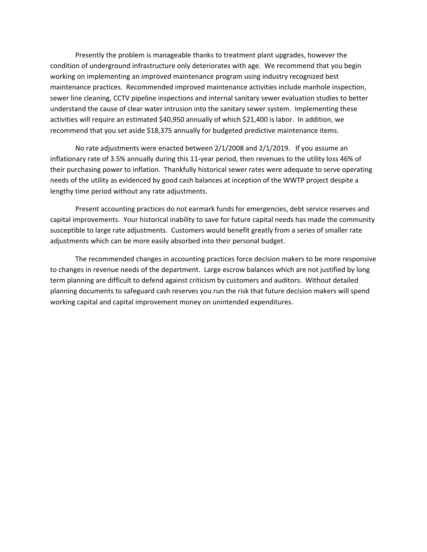Presently the problem is manageable thanks to treatment plant upgrades, however the condition of underground infrastructure only deteriorates with age. We recommend that you begin working on implementing an improved maintenance program using industry recognized best maintenance practices. Recommended improved maintenance activities include manhole inspection, sewer line cleaning, CCTV pipeline inspections and internal sanitary sewer evaluation studies to better understand the cause of clear water intrusion into the sanitary sewer system. Implementing these activities will require an estimated \$40,950 annually of which \$21,400 is labor. In addition, we recommend that you set aside \$18,375 annually for budgeted predictive maintenance items.

No rate adjustments were enacted between 2/1/2008 and 2/1/2019. If you assume an inflationary rate of 3.5% annually during this 11-year period, then revenues to the utility loss 46% of their purchasing power to inflation. Thankfully historical sewer rates were adequate to serve operating needs of the utility as evidenced by good cash balances at inception of the WWTP project despite a lengthy time period without any rate adjustments.

Present accounting practices do not earmark funds for emergencies, debt service reserves and capital improvements. Your historical inability to save for future capital needs has made the community susceptible to large rate adjustments. Customers would benefit greatly from a series of smaller rate adjustments which can be more easily absorbed into their personal budget.

The recommended changes in accounting practices force decision makers to be more responsive to changes in revenue needs of the department. Large escrow balances which are not justified by long term planning are difficult to defend against criticism by customers and auditors. Without detailed planning documents to safeguard cash reserves you run the risk that future decision makers will spend working capital and capital improvement money on unintended expenditures.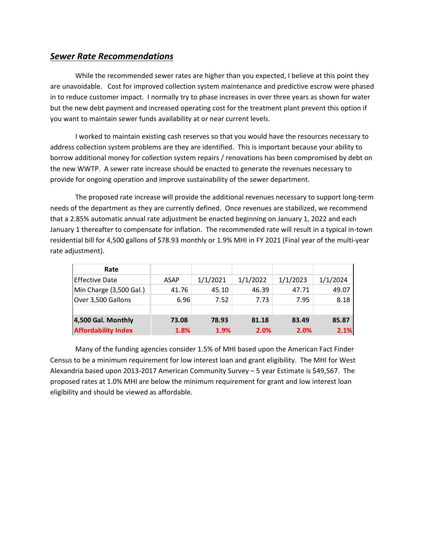## *Sewer Rate Recommendations*

While the recommended sewer rates are higher than you expected, I believe at this point they are unavoidable. Cost for improved collection system maintenance and predictive escrow were phased in to reduce customer impact. I normally try to phase increases in over three years as shown for water but the new debt payment and increased operating cost for the treatment plant prevent this option if you want to maintain sewer funds availability at or near current levels.

I worked to maintain existing cash reserves so that you would have the resources necessary to address collection system problems are they are identified. This is important because your ability to borrow additional money for collection system repairs / renovations has been compromised by debt on the new WWTP. A sewer rate increase should be enacted to generate the revenues necessary to provide for ongoing operation and improve sustainability of the sewer department.

The proposed rate increase will provide the additional revenues necessary to support long-term needs of the department as they are currently defined. Once revenues are stabilized, we recommend that a 2.85% automatic annual rate adjustment be enacted beginning on January 1, 2022 and each January 1 thereafter to compensate for inflation. The recommended rate will result in a typical in-town residential bill for 4,500 gallons of \$78.93 monthly or 1.9% MHI in FY 2021 (Final year of the multi-year rate adjustment).

| Rate                       |             |          |          |          |          |
|----------------------------|-------------|----------|----------|----------|----------|
| IEffective Date            | <b>ASAP</b> | 1/1/2021 | 1/1/2022 | 1/1/2023 | 1/1/2024 |
| Min Charge (3,500 Gal.)    | 41.76       | 45.10    | 46.39    | 47.71    | 49.07    |
| Over 3,500 Gallons         | 6.96        | 7.52     | 7.73     | 7.95     | 8.18     |
|                            |             |          |          |          |          |
| 4,500 Gal. Monthly         | 73.08       | 78.93    | 81.18    | 83.49    | 85.87    |
| <b>Affordability Index</b> | 1.8%        | 1.9%     | 2.0%     | 2.0%     | 2.1%     |

Many of the funding agencies consider 1.5% of MHI based upon the American Fact Finder Census to be a minimum requirement for low interest loan and grant eligibility. The MHI for West Alexandria based upon 2013-2017 American Community Survey – 5 year Estimate is \$49,567. The proposed rates at 1.0% MHI are below the minimum requirement for grant and low interest loan eligibility and should be viewed as affordable.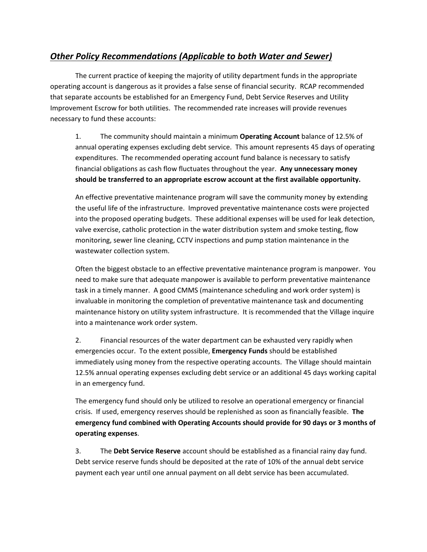## *Other Policy Recommendations (Applicable to both Water and Sewer)*

The current practice of keeping the majority of utility department funds in the appropriate operating account is dangerous as it provides a false sense of financial security. RCAP recommended that separate accounts be established for an Emergency Fund, Debt Service Reserves and Utility Improvement Escrow for both utilities. The recommended rate increases will provide revenues necessary to fund these accounts:

1. The community should maintain a minimum **Operating Account** balance of 12.5% of annual operating expenses excluding debt service. This amount represents 45 days of operating expenditures. The recommended operating account fund balance is necessary to satisfy financial obligations as cash flow fluctuates throughout the year. **Any unnecessary money should be transferred to an appropriate escrow account at the first available opportunity.**

An effective preventative maintenance program will save the community money by extending the useful life of the infrastructure. Improved preventative maintenance costs were projected into the proposed operating budgets. These additional expenses will be used for leak detection, valve exercise, catholic protection in the water distribution system and smoke testing, flow monitoring, sewer line cleaning, CCTV inspections and pump station maintenance in the wastewater collection system.

Often the biggest obstacle to an effective preventative maintenance program is manpower. You need to make sure that adequate manpower is available to perform preventative maintenance task in a timely manner. A good CMMS (maintenance scheduling and work order system) is invaluable in monitoring the completion of preventative maintenance task and documenting maintenance history on utility system infrastructure. It is recommended that the Village inquire into a maintenance work order system.

2. Financial resources of the water department can be exhausted very rapidly when emergencies occur. To the extent possible, **Emergency Funds** should be established immediately using money from the respective operating accounts. The Village should maintain 12.5% annual operating expenses excluding debt service or an additional 45 days working capital in an emergency fund.

The emergency fund should only be utilized to resolve an operational emergency or financial crisis. If used, emergency reserves should be replenished as soon as financially feasible. **The emergency fund combined with Operating Accounts should provide for 90 days or 3 months of operating expenses**.

3. The **Debt Service Reserve** account should be established as a financial rainy day fund. Debt service reserve funds should be deposited at the rate of 10% of the annual debt service payment each year until one annual payment on all debt service has been accumulated.